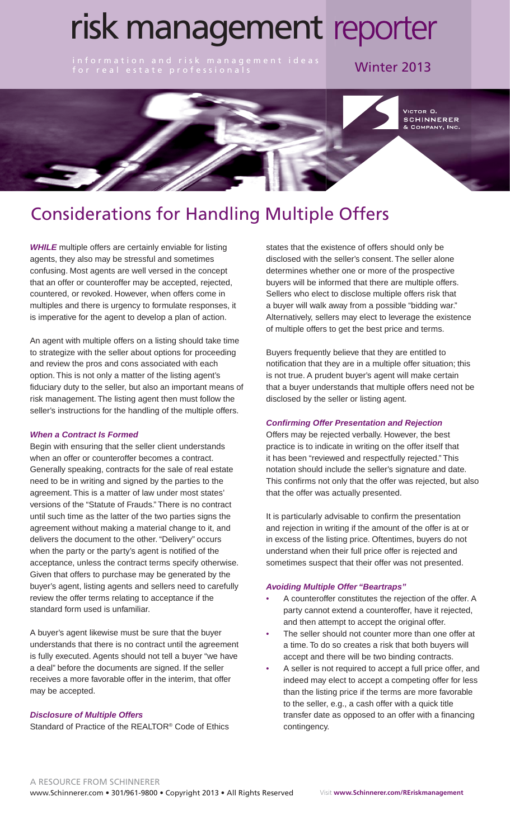# risk management reporter

information and risk management ideas **Winter 2013**<br>for real estate professionals



## Considerations for Handling Multiple Offers

*WHILE* multiple offers are certainly enviable for listing agents, they also may be stressful and sometimes confusing. Most agents are well versed in the concept that an offer or counteroffer may be accepted, rejected, countered, or revoked. However, when offers come in multiples and there is urgency to formulate responses, it is imperative for the agent to develop a plan of action.

An agent with multiple offers on a listing should take time to strategize with the seller about options for proceeding and review the pros and cons associated with each option. This is not only a matter of the listing agent's fiduciary duty to the seller, but also an important means of risk management. The listing agent then must follow the seller's instructions for the handling of the multiple offers.

#### *When a Contract Is Formed*

Begin with ensuring that the seller client understands when an offer or counteroffer becomes a contract. Generally speaking, contracts for the sale of real estate need to be in writing and signed by the parties to the agreement. This is a matter of law under most states' versions of the "Statute of Frauds." There is no contract until such time as the latter of the two parties signs the agreement without making a material change to it, and delivers the document to the other. "Delivery" occurs when the party or the party's agent is notified of the acceptance, unless the contract terms specify otherwise. Given that offers to purchase may be generated by the buyer's agent, listing agents and sellers need to carefully review the offer terms relating to acceptance if the standard form used is unfamiliar.

A buyer's agent likewise must be sure that the buyer understands that there is no contract until the agreement is fully executed. Agents should not tell a buyer "we have a deal" before the documents are signed. If the seller receives a more favorable offer in the interim, that offer may be accepted.

#### *Disclosure of Multiple Offers*

Standard of Practice of the REALTOR® Code of Ethics

states that the existence of offers should only be disclosed with the seller's consent. The seller alone determines whether one or more of the prospective buyers will be informed that there are multiple offers. Sellers who elect to disclose multiple offers risk that a buyer will walk away from a possible "bidding war." Alternatively, sellers may elect to leverage the existence of multiple offers to get the best price and terms.

Buyers frequently believe that they are entitled to notification that they are in a multiple offer situation; this is not true. A prudent buyer's agent will make certain that a buyer understands that multiple offers need not be disclosed by the seller or listing agent.

#### *Confirming Offer Presentation and Rejection*

Offers may be rejected verbally. However, the best practice is to indicate in writing on the offer itself that it has been "reviewed and respectfully rejected." This notation should include the seller's signature and date. This confirms not only that the offer was rejected, but also that the offer was actually presented.

It is particularly advisable to confirm the presentation and rejection in writing if the amount of the offer is at or in excess of the listing price. Oftentimes, buyers do not understand when their full price offer is rejected and sometimes suspect that their offer was not presented.

#### *Avoiding Multiple Offer "Beartraps"*

- A counteroffer constitutes the rejection of the offer. A party cannot extend a counteroffer, have it rejected, and then attempt to accept the original offer.
- The seller should not counter more than one offer at a time. To do so creates a risk that both buyers will accept and there will be two binding contracts.
- A seller is not required to accept a full price offer, and indeed may elect to accept a competing offer for less than the listing price if the terms are more favorable to the seller, e.g., a cash offer with a quick title transfer date as opposed to an offer with a financing contingency.